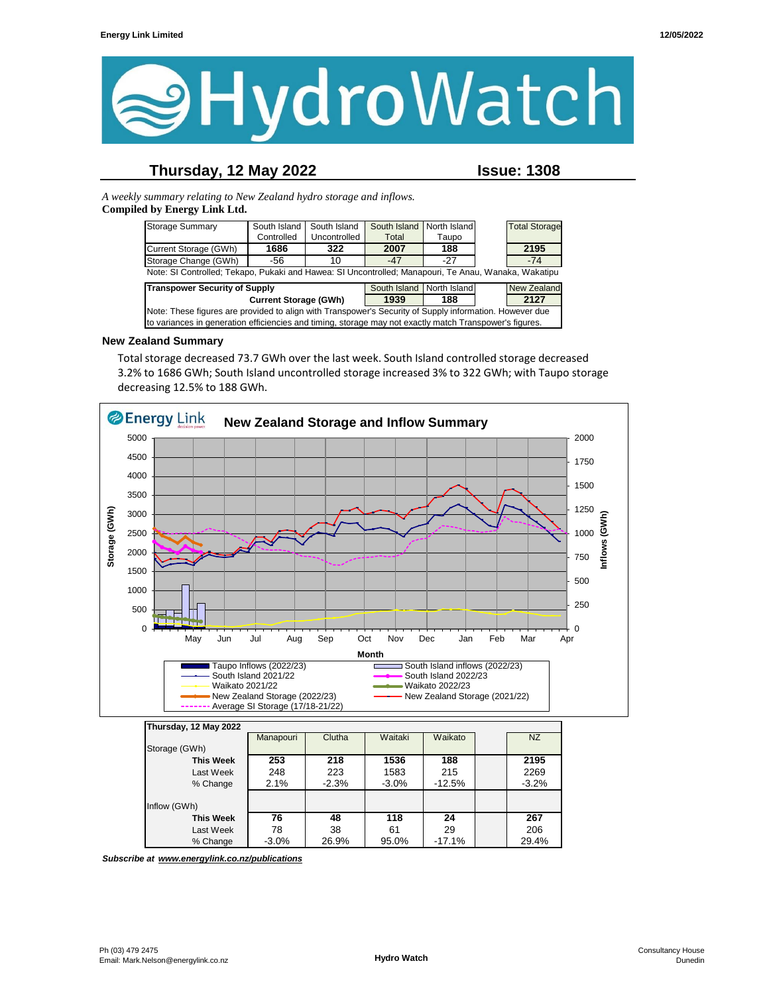

## **Thursday, 12 May 2022 Issue: 1308**

*A weekly summary relating to New Zealand hydro storage and inflows.*  **Compiled by Energy Link Ltd.**

| <b>Storage Summary</b>                                                                                  | South Island | South Island | South Island              | North Island |  | <b>Total Storage</b> |  |  |  |
|---------------------------------------------------------------------------------------------------------|--------------|--------------|---------------------------|--------------|--|----------------------|--|--|--|
|                                                                                                         | Controlled   | Uncontrolled | Total                     | Taupo        |  |                      |  |  |  |
| Current Storage (GWh)                                                                                   | 1686         | 322          | 2007                      | 188          |  | 2195                 |  |  |  |
| Storage Change (GWh)                                                                                    | -56          | 10           | -47                       | $-27$        |  | $-74$                |  |  |  |
| Note: SI Controlled; Tekapo, Pukaki and Hawea: SI Uncontrolled; Manapouri, Te Anau, Wanaka, Wakatipu    |              |              |                           |              |  |                      |  |  |  |
| <b>Transpower Security of Supply</b>                                                                    |              |              | South Island North Island |              |  | <b>New Zealand</b>   |  |  |  |
| <b>Current Storage (GWh)</b>                                                                            |              |              | 1939                      | 188          |  | 2127                 |  |  |  |
| Note: These figures are provided to align with Transpower's Security of Supply information. However due |              |              |                           |              |  |                      |  |  |  |
| to variances in generation efficiencies and timing, storage may not exactly match Transpower's figures. |              |              |                           |              |  |                      |  |  |  |

#### **New Zealand Summary**

Total storage decreased 73.7 GWh over the last week. South Island controlled storage decreased 3.2% to 1686 GWh; South Island uncontrolled storage increased 3% to 322 GWh; with Taupo storage decreasing 12.5% to 188 GWh.



**This Week 76 48 118 24 267** Last Week | 78 | 38 | 61 | 29 | | 206 % Change 3.0% 26.9% 95.0% -17.1% 29.4%

*Subscribe at www.energylink.co.nz/publications*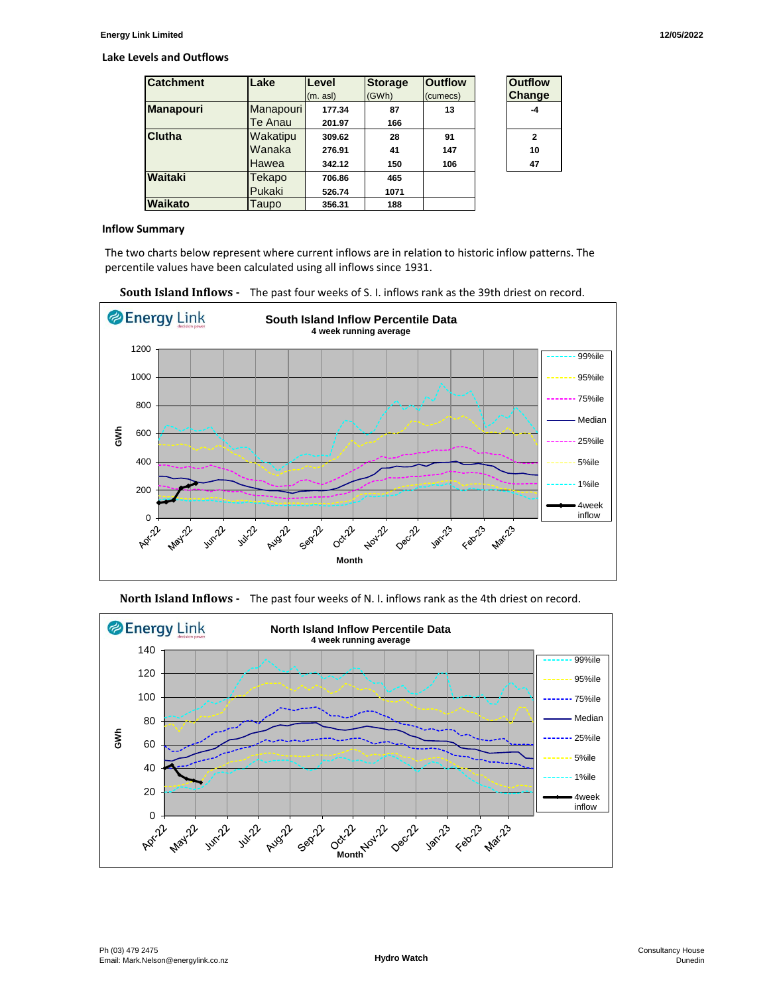#### **Lake Levels and Outflows**

| <b>Catchment</b> | Lake      | Level    | <b>Storage</b> | <b>Outflow</b> | <b>Outflow</b> |
|------------------|-----------|----------|----------------|----------------|----------------|
|                  |           | (m. asl) | (GWh)          | (cumecs)       | Change         |
| <b>Manapouri</b> | Manapouri | 177.34   | 87             | 13             | -4             |
|                  | Te Anau   | 201.97   | 166            |                |                |
| <b>Clutha</b>    | Wakatipu  | 309.62   | 28             | 91             | $\mathbf{2}$   |
|                  | Wanaka    | 276.91   | 41             | 147            | 10             |
|                  | Hawea     | 342.12   | 150            | 106            | 47             |
| Waitaki          | Tekapo    | 706.86   | 465            |                |                |
|                  | Pukaki    | 526.74   | 1071           |                |                |
| Waikato          | Taupo     | 356.31   | 188            |                |                |

| <b>Outflow</b><br>Change |  |  |  |  |
|--------------------------|--|--|--|--|
| -4                       |  |  |  |  |
| 2                        |  |  |  |  |
| 10                       |  |  |  |  |
| 47                       |  |  |  |  |

#### **Inflow Summary**

The two charts below represent where current inflows are in relation to historic inflow patterns. The percentile values have been calculated using all inflows since 1931.







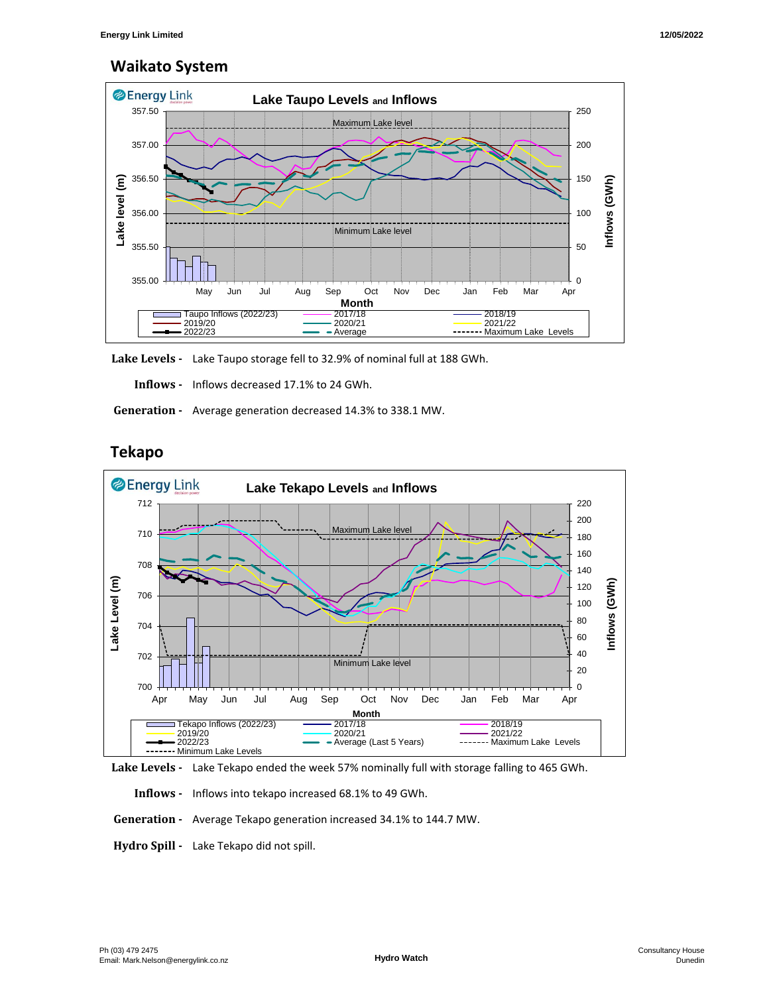# **Waikato System**



**Lake Levels -** Lake Taupo storage fell to 32.9% of nominal full at 188 GWh.

 **Inflows -** Inflows decreased 17.1% to 24 GWh.

 **Generation -** Average generation decreased 14.3% to 338.1 MW.



# **Tekapo**



 **Inflows -** Inflows into tekapo increased 68.1% to 49 GWh.

 **Generation -** Average Tekapo generation increased 34.1% to 144.7 MW.

**Hydro Spill -** Lake Tekapo did not spill.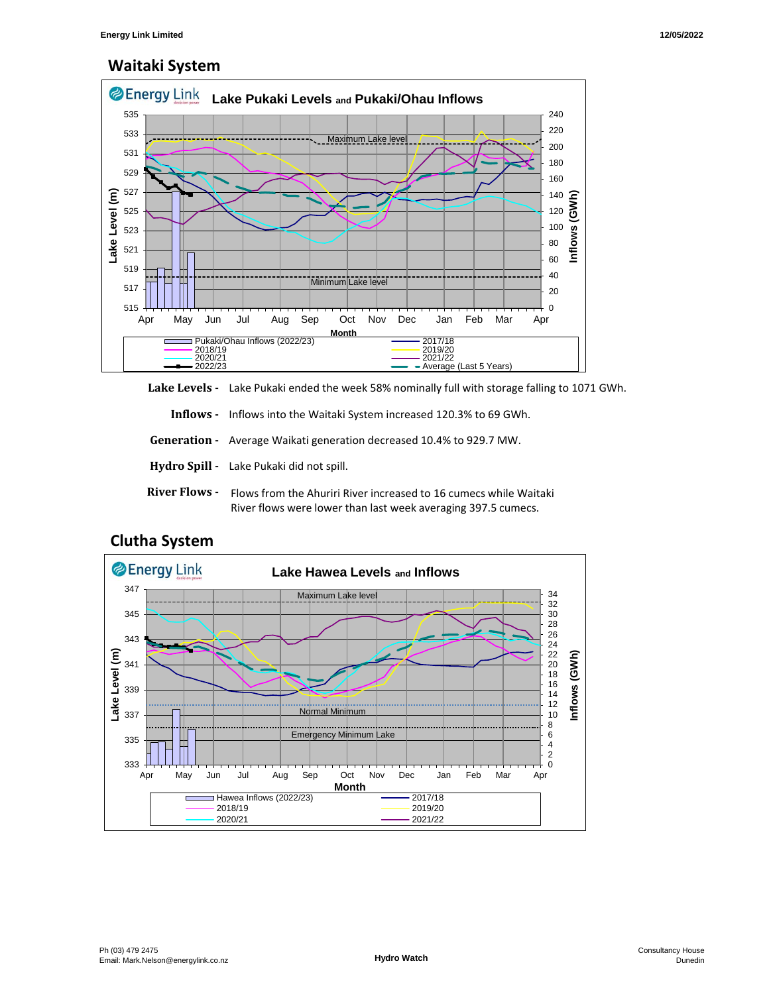# **Waitaki System**



**Lake Levels -** Lake Pukaki ended the week 58% nominally full with storage falling to 1071 GWh.

 **Inflows -** Inflows into the Waitaki System increased 120.3% to 69 GWh.

 **Generation -** Average Waikati generation decreased 10.4% to 929.7 MW.

- **Hydro Spill** Lake Pukaki did not spill.
- River Flows Flows from the Ahuriri River increased to 16 cumecs while Waitaki River flows were lower than last week averaging 397.5 cumecs.



## **Clutha System**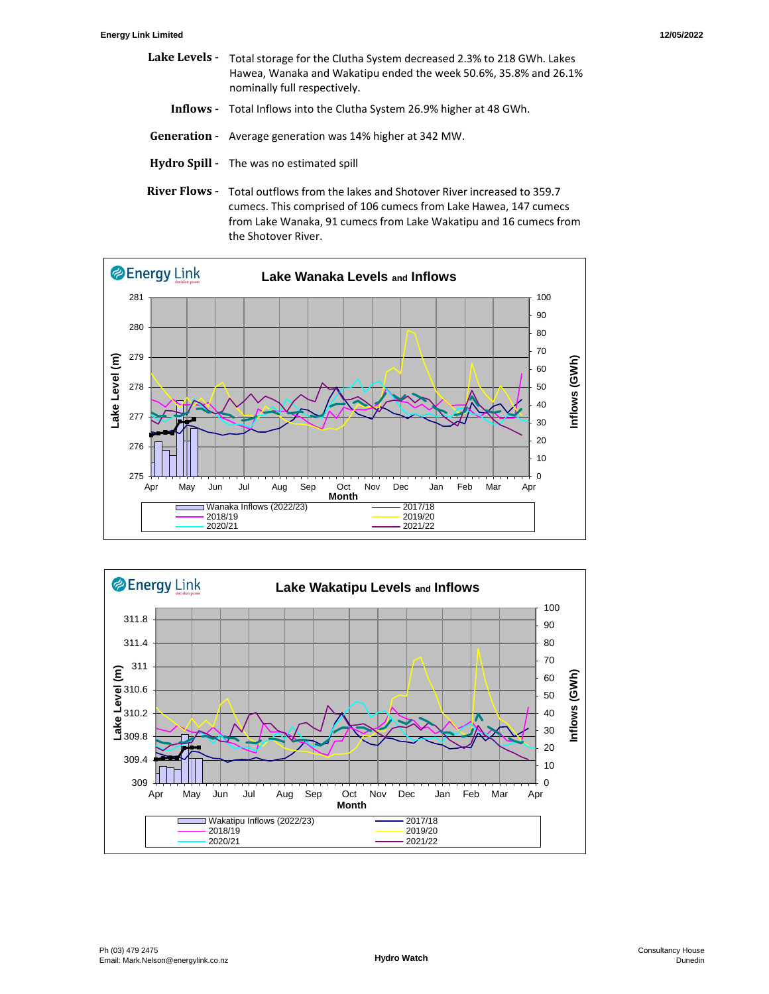- Lake Levels Total storage for the Clutha System decreased 2.3% to 218 GWh. Lakes  **Inflows -** Total Inflows into the Clutha System 26.9% higher at 48 GWh. Hawea, Wanaka and Wakatipu ended the week 50.6%, 35.8% and 26.1% nominally full respectively.
- **Generation** Average generation was 14% higher at 342 MW.
- **Hydro Spill** The was no estimated spill
- River Flows Total outflows from the lakes and Shotover River increased to 359.7 cumecs. This comprised of 106 cumecs from Lake Hawea, 147 cumecs from Lake Wanaka, 91 cumecs from Lake Wakatipu and 16 cumecs from the Shotover River.